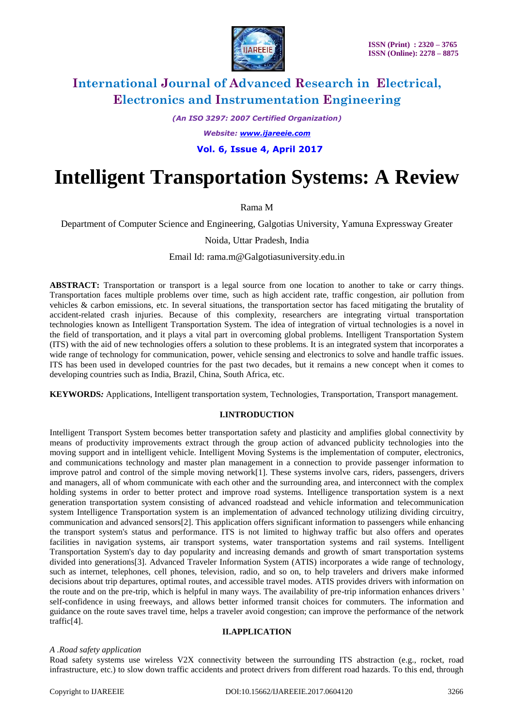

*(An ISO 3297: 2007 Certified Organization)*

*Website: [www.ijareeie.com](http://www.ijareeie.com/)*

 **Vol. 6, Issue 4, April 2017**

# **Intelligent Transportation Systems: A Review**

Rama M

Department of Computer Science and Engineering, Galgotias University, Yamuna Expressway Greater

Noida, Uttar Pradesh, India

Email Id: rama.m@Galgotiasuniversity.edu.in

**ABSTRACT:** Transportation or transport is a legal source from one location to another to take or carry things. Transportation faces multiple problems over time, such as high accident rate, traffic congestion, air pollution from vehicles & carbon emissions, etc. In several situations, the transportation sector has faced mitigating the brutality of accident-related crash injuries. Because of this complexity, researchers are integrating virtual transportation technologies known as Intelligent Transportation System. The idea of integration of virtual technologies is a novel in the field of transportation, and it plays a vital part in overcoming global problems. Intelligent Transportation System (ITS) with the aid of new technologies offers a solution to these problems. It is an integrated system that incorporates a wide range of technology for communication, power, vehicle sensing and electronics to solve and handle traffic issues. ITS has been used in developed countries for the past two decades, but it remains a new concept when it comes to developing countries such as India, Brazil, China, South Africa, etc.

**KEYWORDS***:* Applications, Intelligent transportation system, Technologies, Transportation, Transport management.

#### **I.INTRODUCTION**

Intelligent Transport System becomes better transportation safety and plasticity and amplifies global connectivity by means of productivity improvements extract through the group action of advanced publicity technologies into the moving support and in intelligent vehicle*.* Intelligent Moving Systems is the implementation of computer, electronics, and communications technology and master plan management in a connection to provide passenger information to improve patrol and control of the simple moving network[1]. These systems involve cars, riders, passengers, drivers and managers, all of whom communicate with each other and the surrounding area, and interconnect with the complex holding systems in order to better protect and improve road systems. Intelligence transportation system is a next generation transportation system consisting of advanced roadstead and vehicle information and telecommunication system Intelligence Transportation system is an implementation of advanced technology utilizing dividing circuitry, communication and advanced sensors[2]. This application offers significant information to passengers while enhancing the transport system's status and performance. ITS is not limited to highway traffic but also offers and operates facilities in navigation systems, air transport systems, water transportation systems and rail systems. Intelligent Transportation System's day to day popularity and increasing demands and growth of smart transportation systems divided into generations[3]. Advanced Traveler Information System (ATIS) incorporates a wide range of technology, such as internet, telephones, cell phones, television, radio, and so on, to help travelers and drivers make informed decisions about trip departures, optimal routes, and accessible travel modes. ATIS provides drivers with information on the route and on the pre-trip, which is helpful in many ways. The availability of pre-trip information enhances drivers ' self-confidence in using freeways, and allows better informed transit choices for commuters. The information and guidance on the route saves travel time, helps a traveler avoid congestion; can improve the performance of the network traffic[4].

#### **II.APPLICATION**

#### *A .Road safety application*

Road safety systems use wireless V2X connectivity between the surrounding ITS abstraction (e.g., rocket, road infrastructure, etc.) to slow down traffic accidents and protect drivers from different road hazards. To this end, through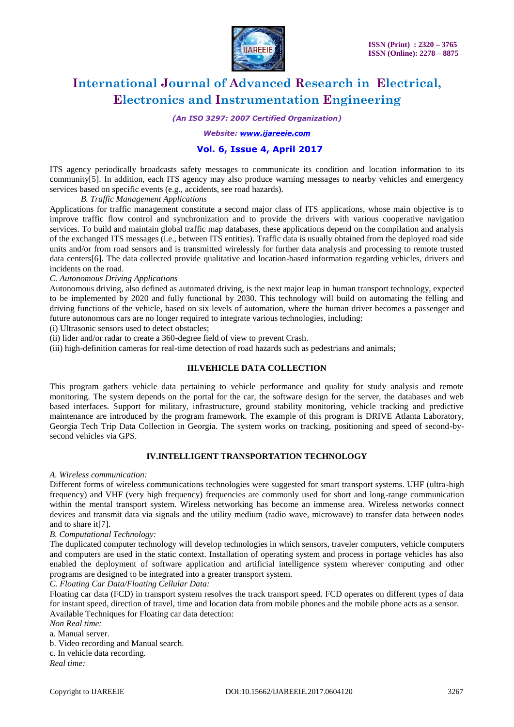

*(An ISO 3297: 2007 Certified Organization)*

*Website: [www.ijareeie.com](http://www.ijareeie.com/)*

## **Vol. 6, Issue 4, April 2017**

ITS agency periodically broadcasts safety messages to communicate its condition and location information to its community[5]. In addition, each ITS agency may also produce warning messages to nearby vehicles and emergency services based on specific events (e.g., accidents, see road hazards).

#### *B. Traffic Management Applications*

Applications for traffic management constitute a second major class of ITS applications, whose main objective is to improve traffic flow control and synchronization and to provide the drivers with various cooperative navigation services. To build and maintain global traffic map databases, these applications depend on the compilation and analysis of the exchanged ITS messages (i.e., between ITS entities). Traffic data is usually obtained from the deployed road side units and/or from road sensors and is transmitted wirelessly for further data analysis and processing to remote trusted data centers[6]. The data collected provide qualitative and location-based information regarding vehicles, drivers and incidents on the road.

#### *C. Autonomous Driving Applications*

Autonomous driving, also defined as automated driving, is the next major leap in human transport technology, expected to be implemented by 2020 and fully functional by 2030. This technology will build on automating the felling and driving functions of the vehicle, based on six levels of automation, where the human driver becomes a passenger and future autonomous cars are no longer required to integrate various technologies, including:

(i) Ultrasonic sensors used to detect obstacles;

(ii) lider and/or radar to create a 360-degree field of view to prevent Crash.

(iii) high-definition cameras for real-time detection of road hazards such as pedestrians and animals;

#### **III.VEHICLE DATA COLLECTION**

This program gathers vehicle data pertaining to vehicle performance and quality for study analysis and remote monitoring. The system depends on the portal for the car, the software design for the server, the databases and web based interfaces. Support for military, infrastructure, ground stability monitoring, vehicle tracking and predictive maintenance are introduced by the program framework. The example of this program is DRIVE Atlanta Laboratory, Georgia Tech Trip Data Collection in Georgia. The system works on tracking, positioning and speed of second-bysecond vehicles via GPS.

#### **IV.INTELLIGENT TRANSPORTATION TECHNOLOGY**

#### *A. Wireless communication:*

Different forms of wireless communications technologies were suggested for smart transport systems. UHF (ultra-high frequency) and VHF (very high frequency) frequencies are commonly used for short and long-range communication within the mental transport system. Wireless networking has become an immense area. Wireless networks connect devices and transmit data via signals and the utility medium (radio wave, microwave) to transfer data between nodes and to share it[7].

#### *B. Computational Technology:*

The duplicated computer technology will develop technologies in which sensors, traveler computers, vehicle computers and computers are used in the static context. Installation of operating system and process in portage vehicles has also enabled the deployment of software application and artificial intelligence system wherever computing and other programs are designed to be integrated into a greater transport system.

*C. Floating Car Data/Floating Cellular Data:*

Floating car data (FCD) in transport system resolves the track transport speed. FCD operates on different types of data for instant speed, direction of travel, time and location data from mobile phones and the mobile phone acts as a sensor. Available Techniques for Floating car data detection:

*Non Real time:*

a. Manual server.

b. Video recording and Manual search.

c. In vehicle data recording.

*Real time:*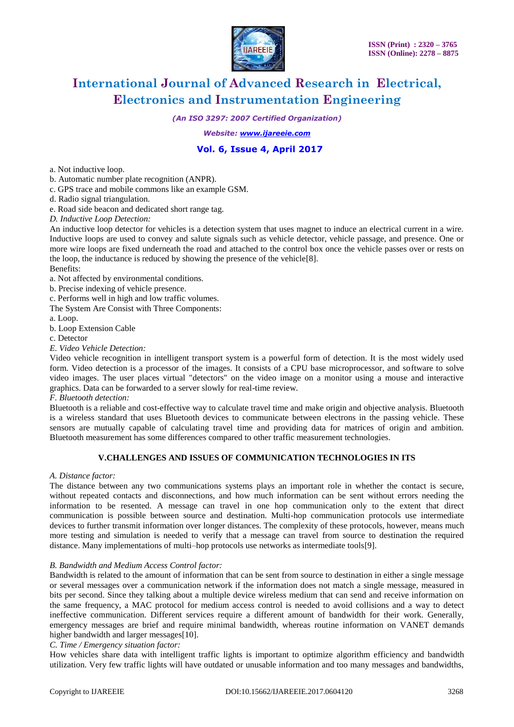

*(An ISO 3297: 2007 Certified Organization)*

#### *Website: [www.ijareeie.com](http://www.ijareeie.com/)*

## **Vol. 6, Issue 4, April 2017**

a. Not inductive loop.

- b. Automatic number plate recognition (ANPR).
- c. GPS trace and mobile commons like an example GSM.
- d. Radio signal triangulation.
- e. Road side beacon and dedicated short range tag.
- *D. Inductive Loop Detection:*

An inductive loop detector for vehicles is a detection system that uses magnet to induce an electrical current in a wire. Inductive loops are used to convey and salute signals such as vehicle detector, vehicle passage, and presence. One or more wire loops are fixed underneath the road and attached to the control box once the vehicle passes over or rests on the loop, the inductance is reduced by showing the presence of the vehicle[8].

### Benefits:

- a. Not affected by environmental conditions.
- b. Precise indexing of vehicle presence.
- c. Performs well in high and low traffic volumes.
- The System Are Consist with Three Components:
- a. Loop.
- b. Loop Extension Cable
- c. Detector
- *E. Video Vehicle Detection:*

Video vehicle recognition in intelligent transport system is a powerful form of detection. It is the most widely used form. Video detection is a processor of the images. It consists of a CPU base microprocessor, and software to solve video images. The user places virtual "detectors" on the video image on a monitor using a mouse and interactive graphics. Data can be forwarded to a server slowly for real-time review.

#### *F. Bluetooth detection:*

Bluetooth is a reliable and cost-effective way to calculate travel time and make origin and objective analysis. Bluetooth is a wireless standard that uses Bluetooth devices to communicate between electrons in the passing vehicle. These sensors are mutually capable of calculating travel time and providing data for matrices of origin and ambition. Bluetooth measurement has some differences compared to other traffic measurement technologies.

#### **V.CHALLENGES AND ISSUES OF COMMUNICATION TECHNOLOGIES IN ITS**

#### *A. Distance factor:*

The distance between any two communications systems plays an important role in whether the contact is secure, without repeated contacts and disconnections, and how much information can be sent without errors needing the information to be resented. A message can travel in one hop communication only to the extent that direct communication is possible between source and destination. Multi-hop communication protocols use intermediate devices to further transmit information over longer distances. The complexity of these protocols, however, means much more testing and simulation is needed to verify that a message can travel from source to destination the required distance. Many implementations of multi–hop protocols use networks as intermediate tools[9].

#### *B. Bandwidth and Medium Access Control factor:*

Bandwidth is related to the amount of information that can be sent from source to destination in either a single message or several messages over a communication network if the information does not match a single message, measured in bits per second. Since they talking about a multiple device wireless medium that can send and receive information on the same frequency, a MAC protocol for medium access control is needed to avoid collisions and a way to detect ineffective communication. Different services require a different amount of bandwidth for their work. Generally, emergency messages are brief and require minimal bandwidth, whereas routine information on VANET demands higher bandwidth and larger messages[10].

#### *C. Time / Emergency situation factor:*

How vehicles share data with intelligent traffic lights is important to optimize algorithm efficiency and bandwidth utilization. Very few traffic lights will have outdated or unusable information and too many messages and bandwidths,